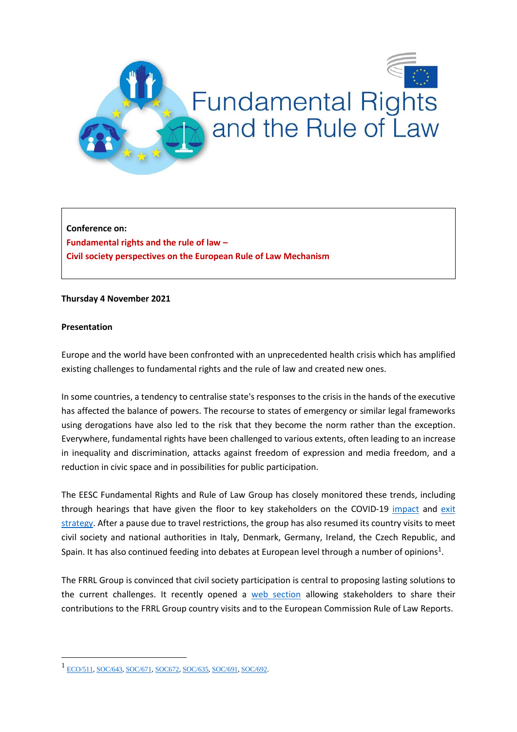

**Conference on: Fundamental rights and the rule of law – Civil society perspectives on the European Rule of Law Mechanism**

### **Thursday 4 November 2021**

### **Presentation**

1

Europe and the world have been confronted with an unprecedented health crisis which has amplified existing challenges to fundamental rights and the rule of law and created new ones.

In some countries, a tendency to centralise state's responses to the crisis in the hands of the executive has affected the balance of powers. The recourse to states of emergency or similar legal frameworks using derogations have also led to the risk that they become the norm rather than the exception. Everywhere, fundamental rights have been challenged to various extents, often leading to an increase in inequality and discrimination, attacks against freedom of expression and media freedom, and a reduction in civic space and in possibilities for public participation.

The EESC Fundamental Rights and Rule of Law Group has closely monitored these trends, including through hearings that have given the floor to key stakeholders on the COVID-19 [impact](https://www.eesc.europa.eu/en/agenda/our-events/events/covid-19-mitigating-impact-and-overcoming-crisis) and [exit](https://www.eesc.europa.eu/fr/agenda/our-events/events/fundamental-rights-rule-law-and-post-covid-19-recovery)  [strategy.](https://www.eesc.europa.eu/fr/agenda/our-events/events/fundamental-rights-rule-law-and-post-covid-19-recovery) After a pause due to travel restrictions, the group has also resumed its country visits to meet civil society and national authorities in Italy, Denmark, Germany, Ireland, the Czech Republic, and Spain. It has also continued feeding into debates at European level through a number of opinions<sup>1</sup>.

The FRRL Group is convinced that civil society participation is central to proposing lasting solutions to the current challenges. It recently opened a [web section](https://www.eesc.europa.eu/en/sections-other-bodies/other/group-fundamental-rights-and-rule-law/frrl-trends-eu-member-states/report-country-visit-denmark-21-22-december-2020) allowing stakeholders to share their contributions to the FRRL Group country visits and to the European Commission Rule of Law Reports.

<sup>1</sup> [ECO/511,](https://www.eesc.europa.eu/en/our-work/opinions-information-reports/opinions/rule-law-and-its-impact-economic-growth) [SOC/643,](https://www.eesc.europa.eu/en/our-work/opinions-information-reports/opinions/principles-public-services-ie-public-services-citizens-public-administration-contribute-directly-stability-free) [SOC/671,](https://www.eesc.europa.eu/en/our-work/opinions-information-reports/opinions/implementation-charter-fundamental-rights) [SOC672,](https://www.eesc.europa.eu/en/our-work/opinions-information-reports/opinions/european-democracy-action-plan) [SOC/635,](https://www.eesc.europa.eu/en/our-work/opinions-information-reports/opinions/securing-media-freedom-and-diversity-europe-own-initiative-opinion) [SOC/691,](https://www.eesc.europa.eu/en/our-work/opinions-information-reports/opinions/impact-covid-19-fundamental-rights-and-rule-law-across-eu-and-future-democracy-own-initiative-opinion-frrl) [SOC/692.](https://www.eesc.europa.eu/en/our-work/opinions-information-reports/opinions/rule-law-and-recovery-fund-own-initiative-opinion-frrl)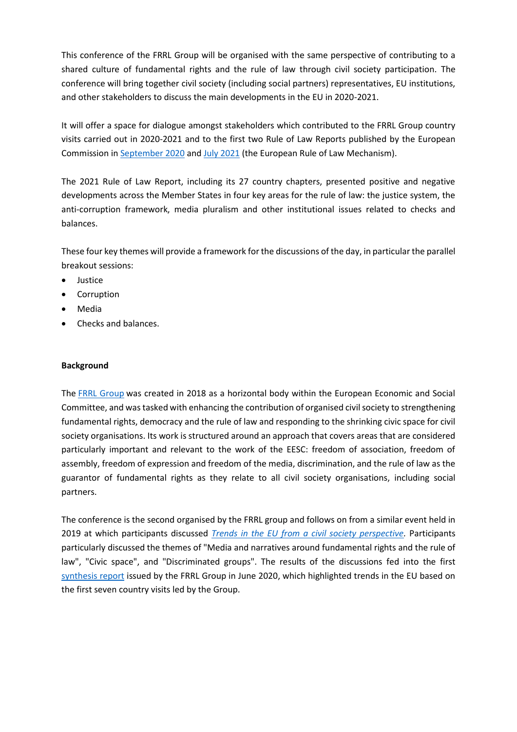This conference of the FRRL Group will be organised with the same perspective of contributing to a shared culture of fundamental rights and the rule of law through civil society participation. The conference will bring together civil society (including social partners) representatives, EU institutions, and other stakeholders to discuss the main developments in the EU in 2020-2021.

It will offer a space for dialogue amongst stakeholders which contributed to the FRRL Group country visits carried out in 2020-2021 and to the first two Rule of Law Reports published by the European Commission i[n September 2020](https://ec.europa.eu/info/policies/justice-and-fundamental-rights/upholding-rule-law/rule-law/rule-law-mechanism/2020-rule-law-report_en) an[d July 2021](https://ec.europa.eu/info/policies/justice-and-fundamental-rights/upholding-rule-law/rule-law/rule-law-mechanism/2021-rule-law-report_en) (the European Rule of Law Mechanism).

The 2021 Rule of Law Report, including its 27 country chapters, presented positive and negative developments across the Member States in four key areas for the rule of law: the justice system, the anti-corruption framework, media pluralism and other institutional issues related to checks and balances.

These four key themes will provide a framework for the discussions of the day, in particular the parallel breakout sessions:

- **•** Justice
- Corruption
- Media
- Checks and balances.

## **Background**

The [FRRL Group](https://www.eesc.europa.eu/en/sections-other-bodies/other/group-fundamental-rights-and-rule-law) was created in 2018 as a horizontal body within the European Economic and Social Committee, and was tasked with enhancing the contribution of organised civil society to strengthening fundamental rights, democracy and the rule of law and responding to the shrinking civic space for civil society organisations. Its work is structured around an approach that covers areas that are considered particularly important and relevant to the work of the EESC: freedom of association, freedom of assembly, freedom of expression and freedom of the media, discrimination, and the rule of law as the guarantor of fundamental rights as they relate to all civil society organisations, including social partners.

The conference is the second organised by the FRRL group and follows on from a similar event held in 2019 at which participants discussed *[Trends in the EU from a civil society perspective.](https://www.eesc.europa.eu/en/agenda/our-events/events/fundamental-rights-and-rule-law)* Participants particularly discussed the themes of "Media and narratives around fundamental rights and the rule of law", "Civic space", and "Discriminated groups". The results of the discussions fed into the first [synthesis report](https://www.eesc.europa.eu/sites/default/files/files/qe-02-20-156-en-n.pdf) issued by the FRRL Group in June 2020, which highlighted trends in the EU based on the first seven country visits led by the Group.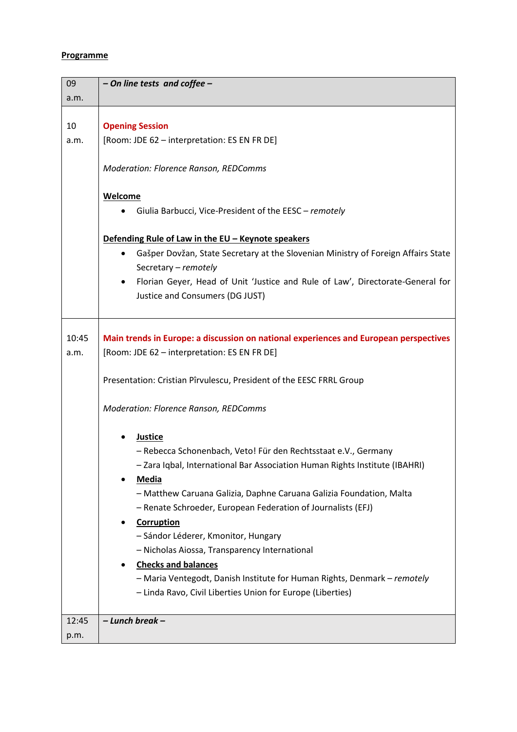# **Programme**

| 09            | - On line tests and coffee -                                                                                                          |  |  |  |
|---------------|---------------------------------------------------------------------------------------------------------------------------------------|--|--|--|
| a.m.          |                                                                                                                                       |  |  |  |
|               |                                                                                                                                       |  |  |  |
| 10            | <b>Opening Session</b>                                                                                                                |  |  |  |
| a.m.          | [Room: JDE 62 - interpretation: ES EN FR DE]                                                                                          |  |  |  |
|               | Moderation: Florence Ranson, REDComms                                                                                                 |  |  |  |
|               | Welcome                                                                                                                               |  |  |  |
|               | Giulia Barbucci, Vice-President of the EESC - remotely                                                                                |  |  |  |
|               |                                                                                                                                       |  |  |  |
|               | Defending Rule of Law in the EU - Keynote speakers                                                                                    |  |  |  |
|               | Gašper Dovžan, State Secretary at the Slovenian Ministry of Foreign Affairs State                                                     |  |  |  |
|               | Secretary - remotely                                                                                                                  |  |  |  |
|               | Florian Geyer, Head of Unit 'Justice and Rule of Law', Directorate-General for<br>$\bullet$                                           |  |  |  |
|               | Justice and Consumers (DG JUST)                                                                                                       |  |  |  |
|               |                                                                                                                                       |  |  |  |
| 10:45<br>a.m. | Main trends in Europe: a discussion on national experiences and European perspectives<br>[Room: JDE 62 - interpretation: ES EN FR DE] |  |  |  |
|               | Presentation: Cristian Pîrvulescu, President of the EESC FRRL Group                                                                   |  |  |  |
|               | <b>Moderation: Florence Ranson, REDComms</b>                                                                                          |  |  |  |
|               | <b>Justice</b>                                                                                                                        |  |  |  |
|               | - Rebecca Schonenbach, Veto! Für den Rechtsstaat e.V., Germany                                                                        |  |  |  |
|               | Zara Iqbal, International Bar Association Human Rights Institute (IBAHRI)                                                             |  |  |  |
|               | <b>Media</b>                                                                                                                          |  |  |  |
|               | - Matthew Caruana Galizia, Daphne Caruana Galizia Foundation, Malta                                                                   |  |  |  |
|               | - Renate Schroeder, European Federation of Journalists (EFJ)                                                                          |  |  |  |
|               | Corruption                                                                                                                            |  |  |  |
|               | - Sándor Léderer, Kmonitor, Hungary                                                                                                   |  |  |  |
|               | - Nicholas Aiossa, Transparency International                                                                                         |  |  |  |
|               | <b>Checks and balances</b>                                                                                                            |  |  |  |
|               | - Maria Ventegodt, Danish Institute for Human Rights, Denmark - remotely                                                              |  |  |  |
|               | - Linda Ravo, Civil Liberties Union for Europe (Liberties)                                                                            |  |  |  |
|               |                                                                                                                                       |  |  |  |
| 12:45         | - Lunch break -                                                                                                                       |  |  |  |
| p.m.          |                                                                                                                                       |  |  |  |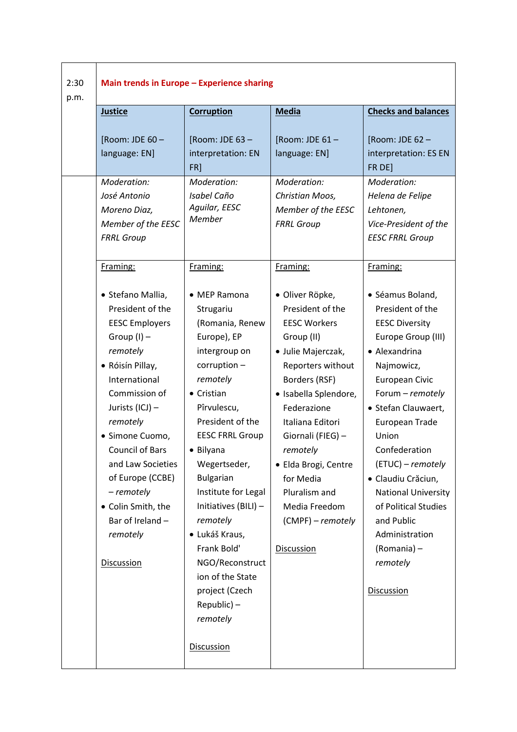| <b>Justice</b>                                                                                                                                                                                                                                                                                                                                                  | <b>Corruption</b>                                                                                                                                                                                                                                                                                                                                                                                                                                     |                                                                                                                                                                                                                                                                                                                                                    | Main trends in Europe - Experience sharing                                                                                                                                                                                                                                                                                                                                                                   |  |  |  |  |
|-----------------------------------------------------------------------------------------------------------------------------------------------------------------------------------------------------------------------------------------------------------------------------------------------------------------------------------------------------------------|-------------------------------------------------------------------------------------------------------------------------------------------------------------------------------------------------------------------------------------------------------------------------------------------------------------------------------------------------------------------------------------------------------------------------------------------------------|----------------------------------------------------------------------------------------------------------------------------------------------------------------------------------------------------------------------------------------------------------------------------------------------------------------------------------------------------|--------------------------------------------------------------------------------------------------------------------------------------------------------------------------------------------------------------------------------------------------------------------------------------------------------------------------------------------------------------------------------------------------------------|--|--|--|--|
|                                                                                                                                                                                                                                                                                                                                                                 |                                                                                                                                                                                                                                                                                                                                                                                                                                                       | <b>Media</b>                                                                                                                                                                                                                                                                                                                                       | <b>Checks and balances</b>                                                                                                                                                                                                                                                                                                                                                                                   |  |  |  |  |
| [Room: JDE 60-<br>language: EN]<br>Moderation:<br>José Antonio<br>Moreno Diaz,<br>Member of the EESC<br><b>FRRL Group</b>                                                                                                                                                                                                                                       | [Room: JDE 63 -<br>interpretation: EN<br>FR]<br>Moderation:<br>Isabel Caño<br>Aguilar, EESC<br><b>Member</b>                                                                                                                                                                                                                                                                                                                                          | [Room: JDE 61 -<br>language: EN]<br>Moderation:<br>Christian Moos,<br>Member of the EESC<br><b>FRRL Group</b>                                                                                                                                                                                                                                      | [Room: JDE 62 -<br>interpretation: ES EN<br>FR DE]<br>Moderation:<br>Helena de Felipe<br>Lehtonen,<br>Vice-President of the<br><b>EESC FRRL Group</b>                                                                                                                                                                                                                                                        |  |  |  |  |
| Framing:                                                                                                                                                                                                                                                                                                                                                        | Framing:                                                                                                                                                                                                                                                                                                                                                                                                                                              | Framing:                                                                                                                                                                                                                                                                                                                                           | Framing:                                                                                                                                                                                                                                                                                                                                                                                                     |  |  |  |  |
| · Stefano Mallia,<br>President of the<br><b>EESC Employers</b><br>Group $(I)$ –<br>remotely<br>• Róisín Pillay,<br>International<br>Commission of<br>Jurists (ICJ) -<br>remotely<br>· Simone Cuomo,<br><b>Council of Bars</b><br>and Law Societies<br>of Europe (CCBE)<br>- remotely<br>• Colin Smith, the<br>Bar of Ireland -<br>remotely<br><b>Discussion</b> | • MEP Ramona<br>Strugariu<br>(Romania, Renew<br>Europe), EP<br>intergroup on<br>$corruption -$<br>remotely<br>$\bullet$ Cristian<br>Pîrvulescu,<br>President of the<br><b>EESC FRRL Group</b><br>• Bilyana<br>Wegertseder,<br><b>Bulgarian</b><br>Institute for Legal<br>Initiatives $(BILI)$ –<br>remotely<br>· Lukáš Kraus,<br>Frank Bold'<br>NGO/Reconstruct<br>ion of the State<br>project (Czech<br>Republic) –<br>remotely<br><b>Discussion</b> | · Oliver Röpke,<br>President of the<br><b>EESC Workers</b><br>Group (II)<br>· Julie Majerczak,<br>Reporters without<br>Borders (RSF)<br>· Isabella Splendore,<br>Federazione<br>Italiana Editori<br>Giornali (FIEG) -<br>remotely<br>· Elda Brogi, Centre<br>for Media<br>Pluralism and<br>Media Freedom<br>(CMPF) - remotely<br><b>Discussion</b> | · Séamus Boland,<br>President of the<br><b>EESC Diversity</b><br>Europe Group (III)<br>• Alexandrina<br>Najmowicz,<br>European Civic<br>Forum - remotely<br>· Stefan Clauwaert,<br>European Trade<br>Union<br>Confederation<br>(ETUC) – remotely<br>· Claudiu Crăciun,<br><b>National University</b><br>of Political Studies<br>and Public<br>Administration<br>(Romania) -<br>remotely<br><b>Discussion</b> |  |  |  |  |
|                                                                                                                                                                                                                                                                                                                                                                 |                                                                                                                                                                                                                                                                                                                                                                                                                                                       |                                                                                                                                                                                                                                                                                                                                                    |                                                                                                                                                                                                                                                                                                                                                                                                              |  |  |  |  |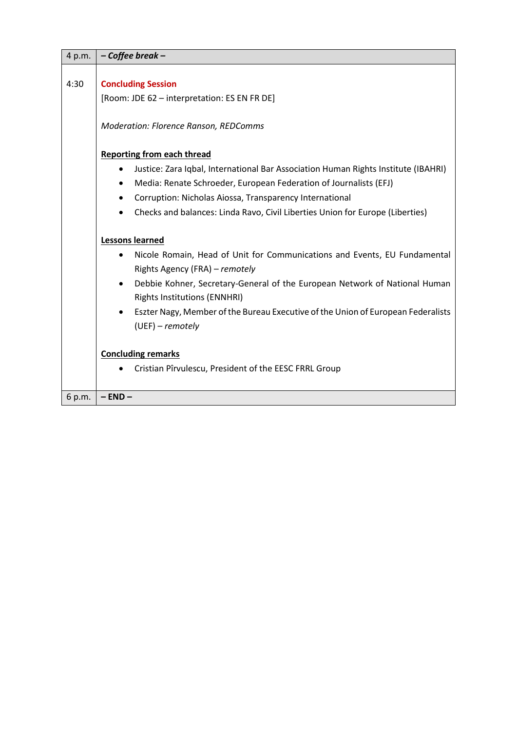| 4 p.m. | - Coffee break -                                                                        |  |  |  |
|--------|-----------------------------------------------------------------------------------------|--|--|--|
|        |                                                                                         |  |  |  |
| 4:30   | <b>Concluding Session</b>                                                               |  |  |  |
|        | [Room: JDE 62 - interpretation: ES EN FR DE]                                            |  |  |  |
|        |                                                                                         |  |  |  |
|        | Moderation: Florence Ranson, REDComms                                                   |  |  |  |
|        |                                                                                         |  |  |  |
|        | <b>Reporting from each thread</b>                                                       |  |  |  |
|        | Justice: Zara Iqbal, International Bar Association Human Rights Institute (IBAHRI)      |  |  |  |
|        | Media: Renate Schroeder, European Federation of Journalists (EFJ)<br>٠                  |  |  |  |
|        | Corruption: Nicholas Aiossa, Transparency International<br>٠                            |  |  |  |
|        | Checks and balances: Linda Ravo, Civil Liberties Union for Europe (Liberties)           |  |  |  |
|        |                                                                                         |  |  |  |
|        | <b>Lessons learned</b>                                                                  |  |  |  |
|        | Nicole Romain, Head of Unit for Communications and Events, EU Fundamental               |  |  |  |
|        | Rights Agency (FRA) - remotely                                                          |  |  |  |
|        | Debbie Kohner, Secretary-General of the European Network of National Human<br>$\bullet$ |  |  |  |
|        | <b>Rights Institutions (ENNHRI)</b>                                                     |  |  |  |
|        | Eszter Nagy, Member of the Bureau Executive of the Union of European Federalists        |  |  |  |
|        | $(UEF) - remotely$                                                                      |  |  |  |
|        |                                                                                         |  |  |  |
|        | <b>Concluding remarks</b>                                                               |  |  |  |
|        | Cristian Pîrvulescu, President of the EESC FRRL Group                                   |  |  |  |
|        |                                                                                         |  |  |  |
| 6 p.m. | $-$ END $-$                                                                             |  |  |  |

 $\blacksquare$ 

÷.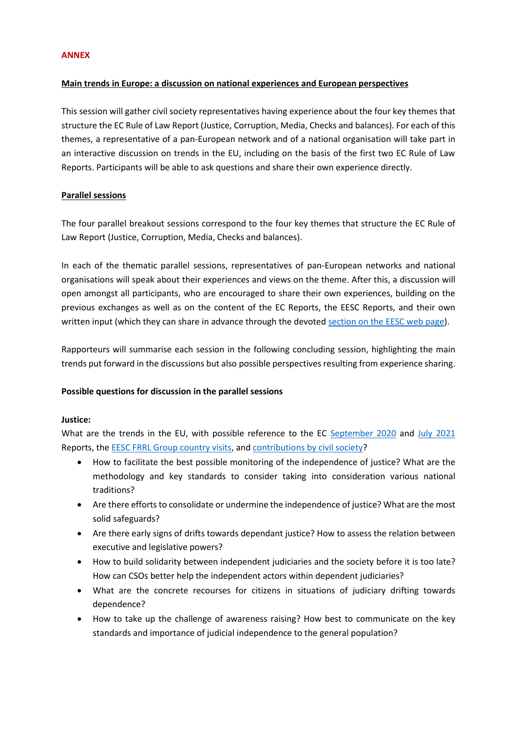#### **ANNEX**

### **Main trends in Europe: a discussion on national experiences and European perspectives**

This session will gather civil society representatives having experience about the four key themes that structure the EC Rule of Law Report (Justice, Corruption, Media, Checks and balances). For each of this themes, a representative of a pan-European network and of a national organisation will take part in an interactive discussion on trends in the EU, including on the basis of the first two EC Rule of Law Reports. Participants will be able to ask questions and share their own experience directly.

### **Parallel sessions**

The four parallel breakout sessions correspond to the four key themes that structure the EC Rule of Law Report (Justice, Corruption, Media, Checks and balances).

In each of the thematic parallel sessions, representatives of pan-European networks and national organisations will speak about their experiences and views on the theme. After this, a discussion will open amongst all participants, who are encouraged to share their own experiences, building on the previous exchanges as well as on the content of the EC Reports, the EESC Reports, and their own written input (which they can share in advance through the devoted [section on the EESC web page\)](https://www.eesc.europa.eu/en/sections-other-bodies/other/group-fundamental-rights-and-rule-law/frrl-trends-eu-member-states/report-country-visit-denmark-21-22-december-2020).

Rapporteurs will summarise each session in the following concluding session, highlighting the main trends put forward in the discussions but also possible perspectives resulting from experience sharing.

### **Possible questions for discussion in the parallel sessions**

### **Justice:**

What are the trends in the EU, with possible reference to the EC [September 2020](https://ec.europa.eu/info/policies/justice-and-fundamental-rights/upholding-rule-law/rule-law/rule-law-mechanism/2020-rule-law-report_en) and [July 2021](https://ec.europa.eu/info/policies/justice-and-fundamental-rights/upholding-rule-law/rule-law/rule-law-mechanism/2021-rule-law-report_en) Reports, the **EESC FRRL Group country visits**, and **contributions** by civil society?

- How to facilitate the best possible monitoring of the independence of justice? What are the methodology and key standards to consider taking into consideration various national traditions?
- Are there efforts to consolidate or undermine the independence of justice? What are the most solid safeguards?
- Are there early signs of drifts towards dependant justice? How to assess the relation between executive and legislative powers?
- How to build solidarity between independent judiciaries and the society before it is too late? How can CSOs better help the independent actors within dependent judiciaries?
- What are the concrete recourses for citizens in situations of judiciary drifting towards dependence?
- How to take up the challenge of awareness raising? How best to communicate on the key standards and importance of judicial independence to the general population?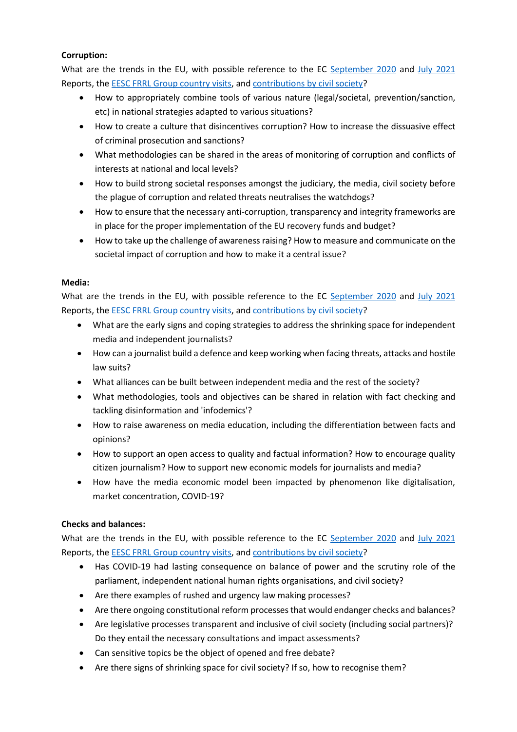## **Corruption:**

What are the trends in the EU, with possible reference to the EC [September 2020](https://ec.europa.eu/info/policies/justice-and-fundamental-rights/upholding-rule-law/rule-law/rule-law-mechanism/2020-rule-law-report_en) and [July 2021](https://ec.europa.eu/info/policies/justice-and-fundamental-rights/upholding-rule-law/rule-law/rule-law-mechanism/2021-rule-law-report_en) Reports, the [EESC FRRL Group country visits,](https://www.eesc.europa.eu/en/sections-other-bodies/other/group-fundamental-rights-and-rule-law/frrl-trends-eu-member-states/search-results?country=All&theme=All&year%5Bvalue%5D%5Byear%5D=&source=All&country_related=1) and [contributions by civil society?](https://www.eesc.europa.eu/en/sections-other-bodies/other/group-fundamental-rights-and-rule-law/frrl-trends-eu-member-states/search-results?country=All&theme=All&year%5Bvalue%5D%5Byear%5D=&source=5795&country_related=2)

- How to appropriately combine tools of various nature (legal/societal, prevention/sanction, etc) in national strategies adapted to various situations?
- How to create a culture that disincentives corruption? How to increase the dissuasive effect of criminal prosecution and sanctions?
- What methodologies can be shared in the areas of monitoring of corruption and conflicts of interests at national and local levels?
- How to build strong societal responses amongst the judiciary, the media, civil society before the plague of corruption and related threats neutralises the watchdogs?
- How to ensure that the necessary anti-corruption, transparency and integrity frameworks are in place for the proper implementation of the EU recovery funds and budget?
- How to take up the challenge of awareness raising? How to measure and communicate on the societal impact of corruption and how to make it a central issue?

### **Media:**

What are the trends in the EU, with possible reference to the EC [September 2020](https://ec.europa.eu/info/policies/justice-and-fundamental-rights/upholding-rule-law/rule-law/rule-law-mechanism/2020-rule-law-report_en) and [July 2021](https://ec.europa.eu/info/policies/justice-and-fundamental-rights/upholding-rule-law/rule-law/rule-law-mechanism/2021-rule-law-report_en) Reports, the EESC FRRL [Group country visits,](https://www.eesc.europa.eu/en/sections-other-bodies/other/group-fundamental-rights-and-rule-law/frrl-trends-eu-member-states/search-results?country=All&theme=All&year%5Bvalue%5D%5Byear%5D=&source=All&country_related=1) and [contributions by civil society?](https://www.eesc.europa.eu/en/sections-other-bodies/other/group-fundamental-rights-and-rule-law/frrl-trends-eu-member-states/search-results?country=All&theme=All&year%5Bvalue%5D%5Byear%5D=&source=5795&country_related=2)

- What are the early signs and coping strategies to address the shrinking space for independent media and independent journalists?
- How can a journalist build a defence and keep working when facing threats, attacks and hostile law suits?
- What alliances can be built between independent media and the rest of the society?
- What methodologies, tools and objectives can be shared in relation with fact checking and tackling disinformation and 'infodemics'?
- How to raise awareness on media education, including the differentiation between facts and opinions?
- How to support an open access to quality and factual information? How to encourage quality citizen journalism? How to support new economic models for journalists and media?
- How have the media economic model been impacted by phenomenon like digitalisation, market concentration, COVID-19?

## **Checks and balances:**

What are the trends in the EU, with possible reference to the EC [September 2020](https://ec.europa.eu/info/policies/justice-and-fundamental-rights/upholding-rule-law/rule-law/rule-law-mechanism/2020-rule-law-report_en) and [July 2021](https://ec.europa.eu/info/policies/justice-and-fundamental-rights/upholding-rule-law/rule-law/rule-law-mechanism/2021-rule-law-report_en) Reports, the [EESC FRRL Group country visits,](https://www.eesc.europa.eu/en/sections-other-bodies/other/group-fundamental-rights-and-rule-law/frrl-trends-eu-member-states/search-results?country=All&theme=All&year%5Bvalue%5D%5Byear%5D=&source=All&country_related=1) and [contributions by civil society?](https://www.eesc.europa.eu/en/sections-other-bodies/other/group-fundamental-rights-and-rule-law/frrl-trends-eu-member-states/search-results?country=All&theme=All&year%5Bvalue%5D%5Byear%5D=&source=5795&country_related=2)

- Has COVID-19 had lasting consequence on balance of power and the scrutiny role of the parliament, independent national human rights organisations, and civil society?
- Are there examples of rushed and urgency law making processes?
- Are there ongoing constitutional reform processes that would endanger checks and balances?
- Are legislative processes transparent and inclusive of civil society (including social partners)? Do they entail the necessary consultations and impact assessments?
- Can sensitive topics be the object of opened and free debate?
- Are there signs of shrinking space for civil society? If so, how to recognise them?